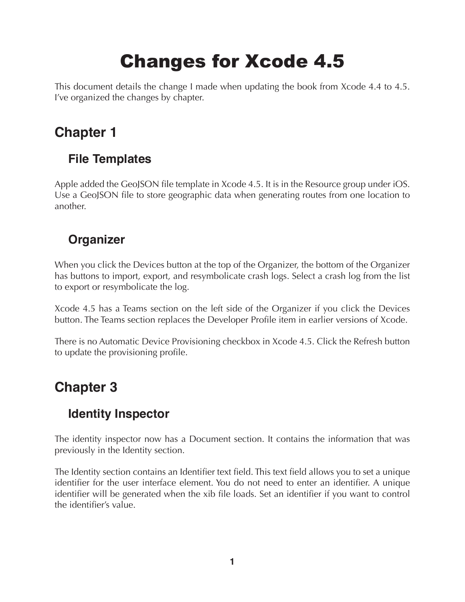# Changes for Xcode 4.5

This document details the change I made when updating the book from Xcode 4.4 to 4.5. I've organized the changes by chapter.

# **Chapter 1**

# **File Templates**

Apple added the GeoJSON file template in Xcode 4.5. It is in the Resource group under iOS. Use a GeoJSON file to store geographic data when generating routes from one location to another.

## **Organizer**

When you click the Devices button at the top of the Organizer, the bottom of the Organizer has buttons to import, export, and resymbolicate crash logs. Select a crash log from the list to export or resymbolicate the log.

Xcode 4.5 has a Teams section on the left side of the Organizer if you click the Devices button. The Teams section replaces the Developer Profile item in earlier versions of Xcode.

There is no Automatic Device Provisioning checkbox in Xcode 4.5. Click the Refresh button to update the provisioning profile.

# **Chapter 3**

## **Identity Inspector**

The identity inspector now has a Document section. It contains the information that was previously in the Identity section.

The Identity section contains an Identifier text field. This text field allows you to set a unique identifier for the user interface element. You do not need to enter an identifier. A unique identifier will be generated when the xib file loads. Set an identifier if you want to control the identifier's value.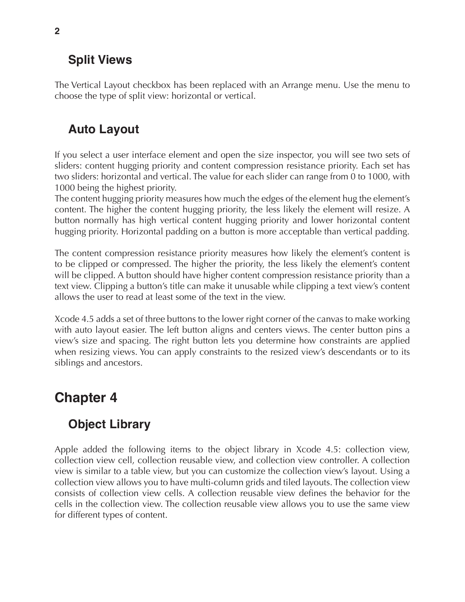#### **Split Views**

The Vertical Layout checkbox has been replaced with an Arrange menu. Use the menu to choose the type of split view: horizontal or vertical.

# **Auto Layout**

If you select a user interface element and open the size inspector, you will see two sets of sliders: content hugging priority and content compression resistance priority. Each set has two sliders: horizontal and vertical. The value for each slider can range from 0 to 1000, with 1000 being the highest priority.

The content hugging priority measures how much the edges of the element hug the element's content. The higher the content hugging priority, the less likely the element will resize. A button normally has high vertical content hugging priority and lower horizontal content hugging priority. Horizontal padding on a button is more acceptable than vertical padding.

The content compression resistance priority measures how likely the element's content is to be clipped or compressed. The higher the priority, the less likely the element's content will be clipped. A button should have higher content compression resistance priority than a text view. Clipping a button's title can make it unusable while clipping a text view's content allows the user to read at least some of the text in the view.

Xcode 4.5 adds a set of three buttons to the lower right corner of the canvas to make working with auto layout easier. The left button aligns and centers views. The center button pins a view's size and spacing. The right button lets you determine how constraints are applied when resizing views. You can apply constraints to the resized view's descendants or to its siblings and ancestors.

# **Chapter 4**

# **Object Library**

Apple added the following items to the object library in Xcode 4.5: collection view, collection view cell, collection reusable view, and collection view controller. A collection view is similar to a table view, but you can customize the collection view's layout. Using a collection view allows you to have multi-column grids and tiled layouts. The collection view consists of collection view cells. A collection reusable view defines the behavior for the cells in the collection view. The collection reusable view allows you to use the same view for different types of content.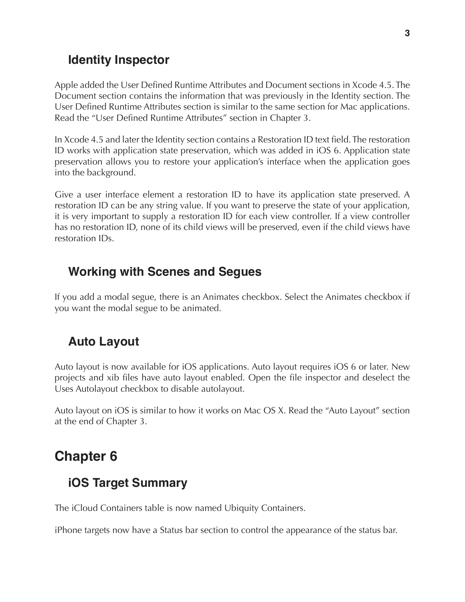#### **Identity Inspector**

Apple added the User Defined Runtime Attributes and Document sections in Xcode 4.5. The Document section contains the information that was previously in the Identity section. The User Defined Runtime Attributes section is similar to the same section for Mac applications. Read the "User Defined Runtime Attributes" section in Chapter 3.

In Xcode 4.5 and later the Identity section contains a Restoration ID text field. The restoration ID works with application state preservation, which was added in iOS 6. Application state preservation allows you to restore your application's interface when the application goes into the background.

Give a user interface element a restoration ID to have its application state preserved. A restoration ID can be any string value. If you want to preserve the state of your application, it is very important to supply a restoration ID for each view controller. If a view controller has no restoration ID, none of its child views will be preserved, even if the child views have restoration IDs.

#### **Working with Scenes and Segues**

If you add a modal segue, there is an Animates checkbox. Select the Animates checkbox if you want the modal segue to be animated.

#### **Auto Layout**

Auto layout is now available for iOS applications. Auto layout requires iOS 6 or later. New projects and xib files have auto layout enabled. Open the file inspector and deselect the Uses Autolayout checkbox to disable autolayout.

Auto layout on iOS is similar to how it works on Mac OS X. Read the "Auto Layout" section at the end of Chapter 3.

# **Chapter 6**

#### **iOS Target Summary**

The iCloud Containers table is now named Ubiquity Containers.

iPhone targets now have a Status bar section to control the appearance of the status bar.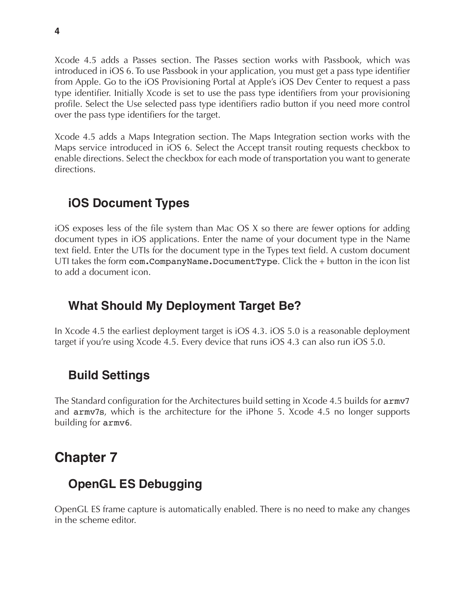Xcode 4.5 adds a Passes section. The Passes section works with Passbook, which was introduced in iOS 6. To use Passbook in your application, you must get a pass type identifier from Apple. Go to the iOS Provisioning Portal at Apple's iOS Dev Center to request a pass type identifier. Initially Xcode is set to use the pass type identifiers from your provisioning profile. Select the Use selected pass type identifiers radio button if you need more control over the pass type identifiers for the target.

Xcode 4.5 adds a Maps Integration section. The Maps Integration section works with the Maps service introduced in iOS 6. Select the Accept transit routing requests checkbox to enable directions. Select the checkbox for each mode of transportation you want to generate directions.

## **iOS Document Types**

iOS exposes less of the file system than Mac OS X so there are fewer options for adding document types in iOS applications. Enter the name of your document type in the Name text field. Enter the UTIs for the document type in the Types text field. A custom document UTI takes the form com.CompanyName.DocumentType. Click the + button in the icon list to add a document icon.

#### **What Should My Deployment Target Be?**

In Xcode 4.5 the earliest deployment target is iOS 4.3. iOS 5.0 is a reasonable deployment target if you're using Xcode 4.5. Every device that runs iOS 4.3 can also run iOS 5.0.

## **Build Settings**

The Standard configuration for the Architectures build setting in Xcode 4.5 builds for armv7 and armv7s, which is the architecture for the iPhone 5. Xcode 4.5 no longer supports building for armv6.

# **Chapter 7**

## **OpenGL ES Debugging**

OpenGL ES frame capture is automatically enabled. There is no need to make any changes in the scheme editor.